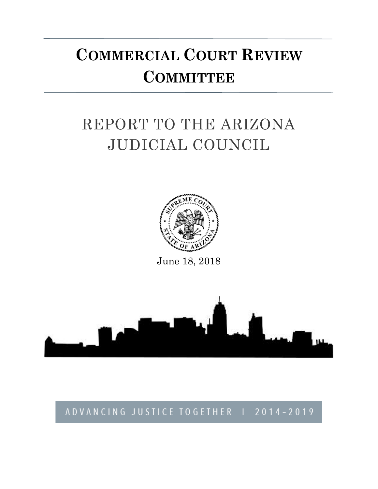# **COMMERCIAL COURT REVIEW COMMITTEE**

# REPORT TO THE ARIZONA JUDICIAL COUNCIL



June 18, 2018



## ADVANCING JUSTICE TOGETHER | 2014-2019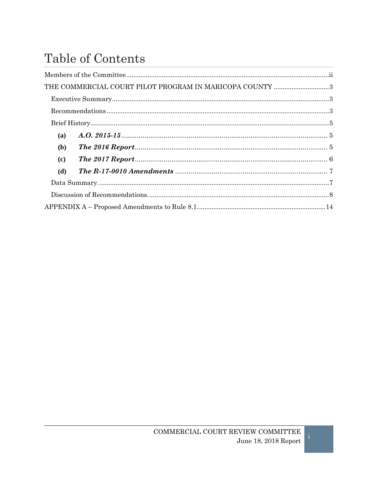## Table of Contents

| THE COMMERCIAL COURT PILOT PROGRAM IN MARICOPA COUNTY 3                                                                                                                                                                                                                                                                                                                                                                                                                                                                                                       |  |  |
|---------------------------------------------------------------------------------------------------------------------------------------------------------------------------------------------------------------------------------------------------------------------------------------------------------------------------------------------------------------------------------------------------------------------------------------------------------------------------------------------------------------------------------------------------------------|--|--|
|                                                                                                                                                                                                                                                                                                                                                                                                                                                                                                                                                               |  |  |
|                                                                                                                                                                                                                                                                                                                                                                                                                                                                                                                                                               |  |  |
| $\textbf{ Brief History}.\textcolor{red}{\textbf{m:}\textbf{m:}\textbf{m:}\textbf{m:}\textbf{m:}\textbf{m:}\textbf{m:}\textbf{m:}\textbf{m:}\textbf{m:}\textbf{m:}\textbf{m:}\textbf{m:}\textbf{m:}\textbf{m:}\textbf{m:}\textbf{m:}\textbf{m:}\textbf{m:}\textbf{m:}\textbf{m:}\textbf{m:}\textbf{m:}\textbf{m:}\textbf{m:}\textbf{m:}\textbf{m:}\textbf{m:}\textbf{m:}\textbf{m:}\textbf{m:}\textbf{m:}\textbf{m:}\textbf{m:}\textbf$                                                                                                                       |  |  |
| <b>(a)</b>                                                                                                                                                                                                                                                                                                                                                                                                                                                                                                                                                    |  |  |
| ( <b>b</b> )                                                                                                                                                                                                                                                                                                                                                                                                                                                                                                                                                  |  |  |
| (c)                                                                                                                                                                                                                                                                                                                                                                                                                                                                                                                                                           |  |  |
| (d)                                                                                                                                                                                                                                                                                                                                                                                                                                                                                                                                                           |  |  |
| $\textbf{Data Summary}.\textcolor{red}{\textbf{numary}}\textcolor{red}{\textbf{num}}\textcolor{red}{\textbf{num}}\textcolor{red}{\textbf{num}}\textcolor{red}{\textbf{num}}\textcolor{red}{\textbf{num}}\textcolor{red}{\textbf{num}}\textcolor{red}{\textbf{num}}\textcolor{red}{\textbf{num}}\textcolor{red}{\textbf{num}}\textcolor{red}{\textbf{num}}\textcolor{red}{\textbf{num}}\textcolor{red}{\textbf{num}}\textcolor{red}{\textbf{num}}\textcolor{red}{\textbf{num}}\textcolor{red}{\textbf{num}}\textcolor{red}{\textbf{num}}\textcolor{red}{\text$ |  |  |
|                                                                                                                                                                                                                                                                                                                                                                                                                                                                                                                                                               |  |  |
|                                                                                                                                                                                                                                                                                                                                                                                                                                                                                                                                                               |  |  |

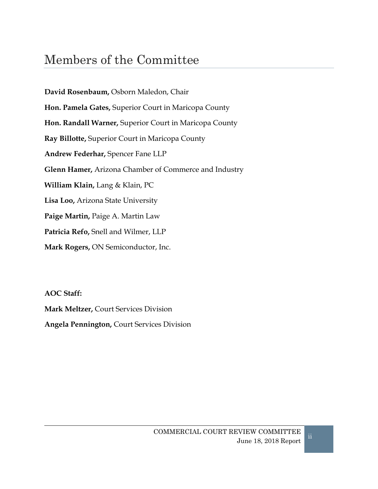## <span id="page-2-0"></span>Members of the Committee

**David Rosenbaum,** Osborn Maledon, Chair **Hon. Pamela Gates,** Superior Court in Maricopa County **Hon. Randall Warner,** Superior Court in Maricopa County **Ray Billotte,** Superior Court in Maricopa County **Andrew Federhar,** Spencer Fane LLP **Glenn Hamer,** Arizona Chamber of Commerce and Industry **William Klain,** Lang & Klain, PC **Lisa Loo,** Arizona State University **Paige Martin,** Paige A. Martin Law **Patricia Refo,** Snell and Wilmer, LLP **Mark Rogers,** ON Semiconductor, Inc.

**AOC Staff:**

**Mark Meltzer,** Court Services Division **Angela Pennington,** Court Services Division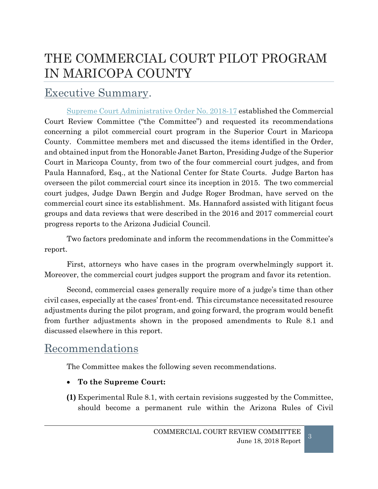## <span id="page-3-0"></span>THE COMMERCIAL COURT PILOT PROGRAM IN MARICOPA COUNTY

## <span id="page-3-1"></span>Executive Summary.

[Supreme Court Administrative Order No. 2018-17](http://www.azcourts.gov/Portals/22/admorder/Orders18/2018-17.pdf) established the Commercial Court Review Committee ("the Committee") and requested its recommendations concerning a pilot commercial court program in the Superior Court in Maricopa County. Committee members met and discussed the items identified in the Order, and obtained input from the Honorable Janet Barton, Presiding Judge of the Superior Court in Maricopa County, from two of the four commercial court judges, and from Paula Hannaford, Esq., at the National Center for State Courts. Judge Barton has overseen the pilot commercial court since its inception in 2015. The two commercial court judges, Judge Dawn Bergin and Judge Roger Brodman, have served on the commercial court since its establishment. Ms. Hannaford assisted with litigant focus groups and data reviews that were described in the 2016 and 2017 commercial court progress reports to the Arizona Judicial Council.

Two factors predominate and inform the recommendations in the Committee's report.

First, attorneys who have cases in the program overwhelmingly support it. Moreover, the commercial court judges support the program and favor its retention.

Second, commercial cases generally require more of a judge's time than other civil cases, especially at the cases' front-end. This circumstance necessitated resource adjustments during the pilot program, and going forward, the program would benefit from further adjustments shown in the proposed amendments to Rule 8.1 and discussed elsewhere in this report.

### <span id="page-3-2"></span>Recommendations

The Committee makes the following seven recommendations.

- **To the Supreme Court:**
- **(1)** Experimental Rule 8.1, with certain revisions suggested by the Committee, should become a permanent rule within the Arizona Rules of Civil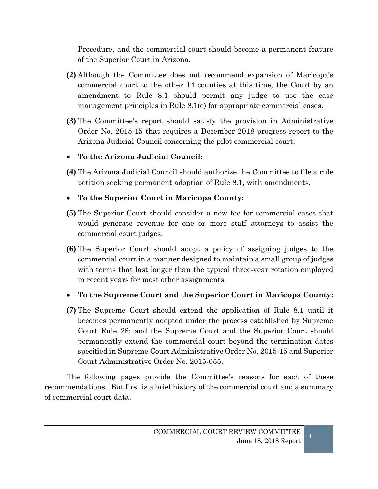Procedure, and the commercial court should become a permanent feature of the Superior Court in Arizona.

- **(2)** Although the Committee does not recommend expansion of Maricopa's commercial court to the other 14 counties at this time, the Court by an amendment to Rule 8.1 should permit any judge to use the case management principles in Rule 8.1(e) for appropriate commercial cases.
- **(3)** The Committee's report should satisfy the provision in Administrative Order No. 2015-15 that requires a December 2018 progress report to the Arizona Judicial Council concerning the pilot commercial court.

#### • **To the Arizona Judicial Council:**

**(4)** The Arizona Judicial Council should authorize the Committee to file a rule petition seeking permanent adoption of Rule 8.1, with amendments.

#### • **To the Superior Court in Maricopa County:**

- **(5)** The Superior Court should consider a new fee for commercial cases that would generate revenue for one or more staff attorneys to assist the commercial court judges.
- **(6)** The Superior Court should adopt a policy of assigning judges to the commercial court in a manner designed to maintain a small group of judges with terms that last longer than the typical three-year rotation employed in recent years for most other assignments.

#### • **To the Supreme Court and the Superior Court in Maricopa County:**

**(7)** The Supreme Court should extend the application of Rule 8.1 until it becomes permanently adopted under the process established by Supreme Court Rule 28; and the Supreme Court and the Superior Court should permanently extend the commercial court beyond the termination dates specified in Supreme Court Administrative Order No. 2015-15 and Superior Court Administrative Order No. 2015-055.

The following pages provide the Committee's reasons for each of these recommendations. But first is a brief history of the commercial court and a summary of commercial court data.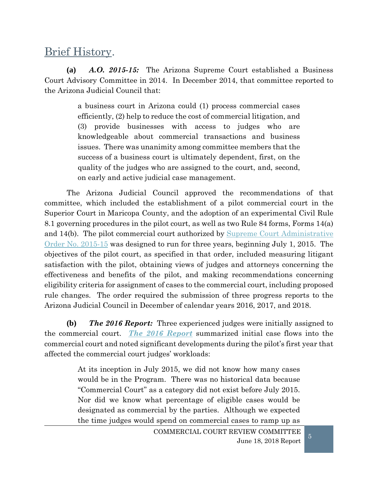### <span id="page-5-0"></span>Brief History.

<span id="page-5-1"></span>**(a)** *A.O. 2015-15:* The Arizona Supreme Court established a Business Court Advisory Committee in 2014. In December 2014, that committee reported to the Arizona Judicial Council that:

> a business court in Arizona could (1) process commercial cases efficiently, (2) help to reduce the cost of commercial litigation, and (3) provide businesses with access to judges who are knowledgeable about commercial transactions and business issues. There was unanimity among committee members that the success of a business court is ultimately dependent, first, on the quality of the judges who are assigned to the court, and, second, on early and active judicial case management.

The Arizona Judicial Council approved the recommendations of that committee, which included the establishment of a pilot commercial court in the Superior Court in Maricopa County, and the adoption of an experimental Civil Rule 8.1 governing procedures in the pilot court, as well as two Rule 84 forms, Forms 14(a) and 14(b). The pilot commercial court authorized by Supreme Court [Administrative](http://www.azcourts.gov/Portals/22/admorder/Orders15/2015-15F.pdf)  [Order No. 2015-15](http://www.azcourts.gov/Portals/22/admorder/Orders15/2015-15F.pdf) was designed to run for three years, beginning July 1, 2015. The objectives of the pilot court, as specified in that order, included measuring litigant satisfaction with the pilot, obtaining views of judges and attorneys concerning the effectiveness and benefits of the pilot, and making recommendations concerning eligibility criteria for assignment of cases to the commercial court, including proposed rule changes. The order required the submission of three progress reports to the Arizona Judicial Council in December of calendar years 2016, 2017, and 2018.

<span id="page-5-2"></span>**(b)** *The 2016 Report:* Three experienced judges were initially assigned to the commercial court. *[The 2016 Report](http://www.azcourts.gov/Portals/84/MeetingMaterials/2016/Dec16/TAB_2_AJC.pdf)* summarized initial case flows into the commercial court and noted significant developments during the pilot's first year that affected the commercial court judges' workloads:

> At its inception in July 2015, we did not know how many cases would be in the Program. There was no historical data because "Commercial Court" as a category did not exist before July 2015. Nor did we know what percentage of eligible cases would be designated as commercial by the parties. Although we expected the time judges would spend on commercial cases to ramp up as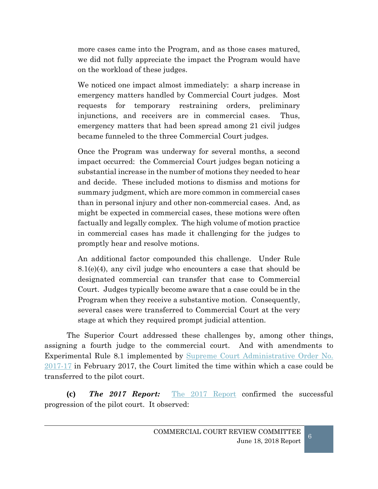more cases came into the Program, and as those cases matured, we did not fully appreciate the impact the Program would have on the workload of these judges.

We noticed one impact almost immediately: a sharp increase in emergency matters handled by Commercial Court judges. Most requests for temporary restraining orders, preliminary injunctions, and receivers are in commercial cases. Thus, emergency matters that had been spread among 21 civil judges became funneled to the three Commercial Court judges.

Once the Program was underway for several months, a second impact occurred: the Commercial Court judges began noticing a substantial increase in the number of motions they needed to hear and decide. These included motions to dismiss and motions for summary judgment, which are more common in commercial cases than in personal injury and other non-commercial cases. And, as might be expected in commercial cases, these motions were often factually and legally complex. The high volume of motion practice in commercial cases has made it challenging for the judges to promptly hear and resolve motions.

An additional factor compounded this challenge. Under Rule 8.1(e)(4), any civil judge who encounters a case that should be designated commercial can transfer that case to Commercial Court. Judges typically become aware that a case could be in the Program when they receive a substantive motion. Consequently, several cases were transferred to Commercial Court at the very stage at which they required prompt judicial attention.

The Superior Court addressed these challenges by, among other things, assigning a fourth judge to the commercial court. And with amendments to Experimental Rule 8.1 implemented by [Supreme Court Administrative Order No.](http://www.azcourts.gov/Portals/22/admorder/Orders17/2017-17Final.pdf)  [2017-17](http://www.azcourts.gov/Portals/22/admorder/Orders17/2017-17Final.pdf) in February 2017, the Court limited the time within which a case could be transferred to the pilot court.

<span id="page-6-0"></span>**(c)** *The 2017 Report:* [The 2017 Report](http://www.azcourts.gov/Portals/84/MeetingMaterials/2017/Dec/TAB_8_AJCCommercialCourt.pdf) confirmed the successful progression of the pilot court. It observed: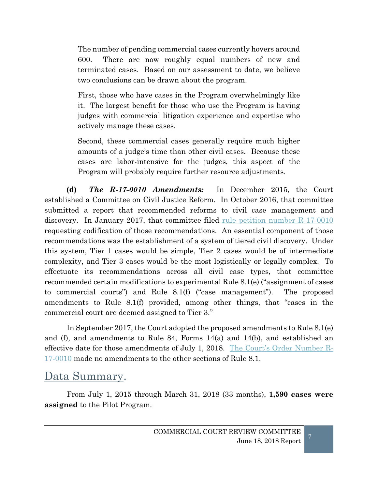The number of pending commercial cases currently hovers around 600. There are now roughly equal numbers of new and terminated cases. Based on our assessment to date, we believe two conclusions can be drawn about the program.

First, those who have cases in the Program overwhelmingly like it. The largest benefit for those who use the Program is having judges with commercial litigation experience and expertise who actively manage these cases.

Second, these commercial cases generally require much higher amounts of a judge's time than other civil cases. Because these cases are labor-intensive for the judges, this aspect of the Program will probably require further resource adjustments.

<span id="page-7-0"></span>**(d)** *The R-17-0010 Amendments:* In December 2015, the Court established a Committee on Civil Justice Reform. In October 2016, that committee submitted a report that recommended reforms to civil case management and discovery. In January 2017, that committee filed <u>rule petition number R-17-0010</u> requesting codification of those recommendations. An essential component of those recommendations was the establishment of a system of tiered civil discovery. Under this system, Tier 1 cases would be simple, Tier 2 cases would be of intermediate complexity, and Tier 3 cases would be the most logistically or legally complex. To effectuate its recommendations across all civil case types, that committee recommended certain modifications to experimental Rule 8.1(e) ("assignment of cases to commercial courts") and Rule 8.1(f) ("case management"). The proposed amendments to Rule 8.1(f) provided, among other things, that "cases in the commercial court are deemed assigned to Tier 3."

In September 2017, the Court adopted the proposed amendments to Rule 8.1(e) and (f), and amendments to Rule 84, Forms 14(a) and 14(b), and established an effective date for those amendments of July 1, 2018. [The Court's Order Number R-](http://www.azcourts.gov/Portals/20/2017%20Rules/17-0010.pdf)[17-0010](http://www.azcourts.gov/Portals/20/2017%20Rules/17-0010.pdf) made no amendments to the other sections of Rule 8.1.

### <span id="page-7-1"></span>Data Summary.

From July 1, 2015 through March 31, 2018 (33 months), **1,590 cases were assigned** to the Pilot Program.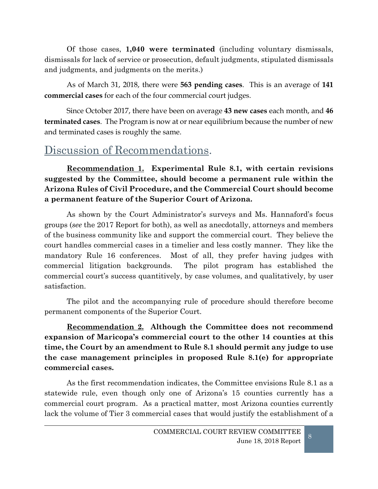Of those cases, **1,040 were terminated** (including voluntary dismissals, dismissals for lack of service or prosecution, default judgments, stipulated dismissals and judgments, and judgments on the merits.)

As of March 31, 2018, there were **563 pending cases**. This is an average of **141 commercial cases** for each of the four commercial court judges.

Since October 2017, there have been on average **43 new cases** each month, and **46 terminated cases**.The Program is now at or near equilibrium because the number of new and terminated cases is roughly the same.

### <span id="page-8-0"></span>Discussion of Recommendations.

**Recommendation 1. Experimental Rule 8.1, with certain revisions suggested by the Committee, should become a permanent rule within the Arizona Rules of Civil Procedure, and the Commercial Court should become a permanent feature of the Superior Court of Arizona.**

As shown by the Court Administrator's surveys and Ms. Hannaford's focus groups (*see* the 2017 Report for both), as well as anecdotally, attorneys and members of the business community like and support the commercial court. They believe the court handles commercial cases in a timelier and less costly manner. They like the mandatory Rule 16 conferences. Most of all, they prefer having judges with commercial litigation backgrounds. The pilot program has established the commercial court's success quantitively, by case volumes, and qualitatively, by user satisfaction.

The pilot and the accompanying rule of procedure should therefore become permanent components of the Superior Court.

**Recommendation 2. Although the Committee does not recommend expansion of Maricopa's commercial court to the other 14 counties at this time, the Court by an amendment to Rule 8.1 should permit any judge to use the case management principles in proposed Rule 8.1(e) for appropriate commercial cases.**

As the first recommendation indicates, the Committee envisions Rule 8.1 as a statewide rule, even though only one of Arizona's 15 counties currently has a commercial court program. As a practical matter, most Arizona counties currently lack the volume of Tier 3 commercial cases that would justify the establishment of a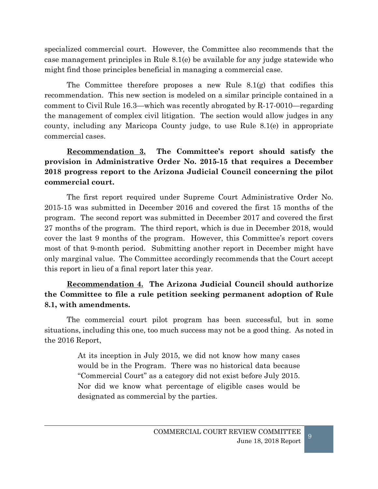specialized commercial court. However, the Committee also recommends that the case management principles in Rule 8.1(e) be available for any judge statewide who might find those principles beneficial in managing a commercial case.

The Committee therefore proposes a new Rule  $8.1(g)$  that codifies this recommendation. This new section is modeled on a similar principle contained in a comment to Civil Rule 16.3—which was recently abrogated by R-17-0010—regarding the management of complex civil litigation. The section would allow judges in any county, including any Maricopa County judge, to use Rule 8.1(e) in appropriate commercial cases.

**Recommendation 3. The Committee's report should satisfy the provision in Administrative Order No. 2015-15 that requires a December 2018 progress report to the Arizona Judicial Council concerning the pilot commercial court.**

The first report required under Supreme Court Administrative Order No. 2015-15 was submitted in December 2016 and covered the first 15 months of the program. The second report was submitted in December 2017 and covered the first 27 months of the program. The third report, which is due in December 2018, would cover the last 9 months of the program. However, this Committee's report covers most of that 9-month period. Submitting another report in December might have only marginal value. The Committee accordingly recommends that the Court accept this report in lieu of a final report later this year.

#### **Recommendation 4. The Arizona Judicial Council should authorize the Committee to file a rule petition seeking permanent adoption of Rule 8.1, with amendments.**

The commercial court pilot program has been successful, but in some situations, including this one, too much success may not be a good thing. As noted in the 2016 Report,

> At its inception in July 2015, we did not know how many cases would be in the Program. There was no historical data because "Commercial Court" as a category did not exist before July 2015. Nor did we know what percentage of eligible cases would be designated as commercial by the parties.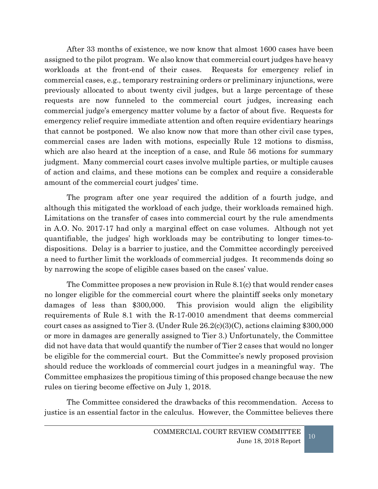After 33 months of existence, we now know that almost 1600 cases have been assigned to the pilot program. We also know that commercial court judges have heavy workloads at the front-end of their cases. Requests for emergency relief in commercial cases, e.g., temporary restraining orders or preliminary injunctions, were previously allocated to about twenty civil judges, but a large percentage of these requests are now funneled to the commercial court judges, increasing each commercial judge's emergency matter volume by a factor of about five. Requests for emergency relief require immediate attention and often require evidentiary hearings that cannot be postponed. We also know now that more than other civil case types, commercial cases are laden with motions, especially Rule 12 motions to dismiss, which are also heard at the inception of a case, and Rule 56 motions for summary judgment. Many commercial court cases involve multiple parties, or multiple causes of action and claims, and these motions can be complex and require a considerable amount of the commercial court judges' time.

The program after one year required the addition of a fourth judge, and although this mitigated the workload of each judge, their workloads remained high. Limitations on the transfer of cases into commercial court by the rule amendments in A.O. No. 2017-17 had only a marginal effect on case volumes. Although not yet quantifiable, the judges' high workloads may be contributing to longer times-todispositions. Delay is a barrier to justice, and the Committee accordingly perceived a need to further limit the workloads of commercial judges. It recommends doing so by narrowing the scope of eligible cases based on the cases' value.

The Committee proposes a new provision in Rule 8.1(c) that would render cases no longer eligible for the commercial court where the plaintiff seeks only monetary damages of less than \$300,000. This provision would align the eligibility requirements of Rule 8.1 with the R-17-0010 amendment that deems commercial court cases as assigned to Tier 3. (Under Rule 26.2(c)(3)(C), actions claiming \$300,000 or more in damages are generally assigned to Tier 3.) Unfortunately, the Committee did not have data that would quantify the number of Tier 2 cases that would no longer be eligible for the commercial court. But the Committee's newly proposed provision should reduce the workloads of commercial court judges in a meaningful way. The Committee emphasizes the propitious timing of this proposed change because the new rules on tiering become effective on July 1, 2018.

The Committee considered the drawbacks of this recommendation. Access to justice is an essential factor in the calculus. However, the Committee believes there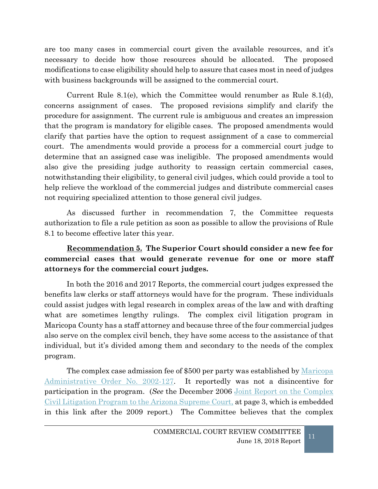are too many cases in commercial court given the available resources, and it's necessary to decide how those resources should be allocated. The proposed modifications to case eligibility should help to assure that cases most in need of judges with business backgrounds will be assigned to the commercial court.

Current Rule 8.1(e), which the Committee would renumber as Rule 8.1(d), concerns assignment of cases. The proposed revisions simplify and clarify the procedure for assignment. The current rule is ambiguous and creates an impression that the program is mandatory for eligible cases. The proposed amendments would clarify that parties have the option to request assignment of a case to commercial court. The amendments would provide a process for a commercial court judge to determine that an assigned case was ineligible. The proposed amendments would also give the presiding judge authority to reassign certain commercial cases, notwithstanding their eligibility, to general civil judges, which could provide a tool to help relieve the workload of the commercial judges and distribute commercial cases not requiring specialized attention to those general civil judges.

As discussed further in recommendation 7, the Committee requests authorization to file a rule petition as soon as possible to allow the provisions of Rule 8.1 to become effective later this year.

#### **Recommendation 5. The Superior Court should consider a new fee for commercial cases that would generate revenue for one or more staff attorneys for the commercial court judges.**

In both the 2016 and 2017 Reports, the commercial court judges expressed the benefits law clerks or staff attorneys would have for the program. These individuals could assist judges with legal research in complex areas of the law and with drafting what are sometimes lengthy rulings. The complex civil litigation program in Maricopa County has a staff attorney and because three of the four commercial judges also serve on the complex civil bench, they have some access to the assistance of that individual, but it's divided among them and secondary to the needs of the complex program.

The complex case admission fee of \$500 per party was established by <u>Maricopa</u> [Administrative Order No. 2002-127.](http://www.superiorcourt.maricopa.gov/SuperiorCourt/AdministrativeOrders/AdminOrders/ao2002-127.pdf) It reportedly was not a disincentive for participation in the program. (*See* the December 2006 [Joint Report on the Complex](http://www.azcourts.gov/Portals/74/Archive/ComplexLit/FinalReport.pdf)  [Civil Litigation Program to the Arizona Supreme Court,](http://www.azcourts.gov/Portals/74/Archive/ComplexLit/FinalReport.pdf) at page 3, which is embedded in this link after the 2009 report.) The Committee believes that the complex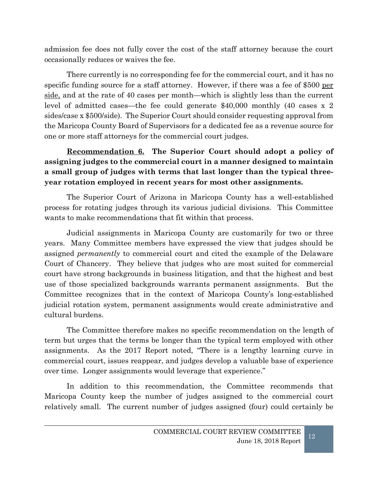admission fee does not fully cover the cost of the staff attorney because the court occasionally reduces or waives the fee.

There currently is no corresponding fee for the commercial court, and it has no specific funding source for a staff attorney. However, if there was a fee of \$500 per side, and at the rate of 40 cases per month—which is slightly less than the current level of admitted cases—the fee could generate \$40,000 monthly (40 cases x 2 sides/case x \$500/side). The Superior Court should consider requesting approval from the Maricopa County Board of Supervisors for a dedicated fee as a revenue source for one or more staff attorneys for the commercial court judges.

**Recommendation 6. The Superior Court should adopt a policy of assigning judges to the commercial court in a manner designed to maintain a small group of judges with terms that last longer than the typical threeyear rotation employed in recent years for most other assignments.**

The Superior Court of Arizona in Maricopa County has a well-established process for rotating judges through its various judicial divisions. This Committee wants to make recommendations that fit within that process.

Judicial assignments in Maricopa County are customarily for two or three years. Many Committee members have expressed the view that judges should be assigned *permanently* to commercial court and cited the example of the Delaware Court of Chancery. They believe that judges who are most suited for commercial court have strong backgrounds in business litigation, and that the highest and best use of those specialized backgrounds warrants permanent assignments. But the Committee recognizes that in the context of Maricopa County's long-established judicial rotation system, permanent assignments would create administrative and cultural burdens.

The Committee therefore makes no specific recommendation on the length of term but urges that the terms be longer than the typical term employed with other assignments. As the 2017 Report noted, "There is a lengthy learning curve in commercial court, issues reappear, and judges develop a valuable base of experience over time. Longer assignments would leverage that experience."

In addition to this recommendation, the Committee recommends that Maricopa County keep the number of judges assigned to the commercial court relatively small. The current number of judges assigned (four) could certainly be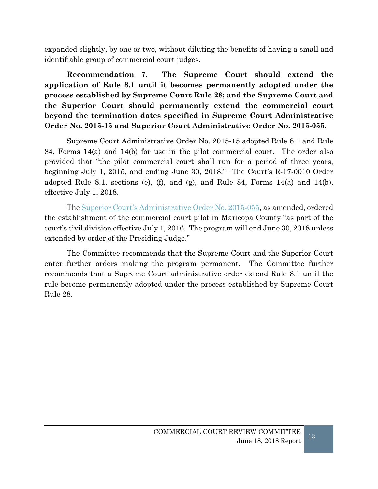expanded slightly, by one or two, without diluting the benefits of having a small and identifiable group of commercial court judges.

**Recommendation 7. The Supreme Court should extend the application of Rule 8.1 until it becomes permanently adopted under the process established by Supreme Court Rule 28; and the Supreme Court and the Superior Court should permanently extend the commercial court beyond the termination dates specified in Supreme Court Administrative Order No. 2015-15 and Superior Court Administrative Order No. 2015-055.**

Supreme Court Administrative Order No. 2015-15 adopted Rule 8.1 and Rule 84, Forms 14(a) and 14(b) for use in the pilot commercial court. The order also provided that "the pilot commercial court shall run for a period of three years, beginning July 1, 2015, and ending June 30, 2018." The Court's R-17-0010 Order adopted Rule 8.1, sections (e), (f), and (g), and Rule 84, Forms 14(a) and 14(b), effective July 1, 2018.

The [Superior Court's Administrative Order No. 2015-055,](http://www.superiorcourt.maricopa.gov/SuperiorCourt/AdministrativeOrders/AdminOrders/Admin%20Order%202015-055%20amended.pdf) as amended, ordered the establishment of the commercial court pilot in Maricopa County "as part of the court's civil division effective July 1, 2016. The program will end June 30, 2018 unless extended by order of the Presiding Judge."

The Committee recommends that the Supreme Court and the Superior Court enter further orders making the program permanent. The Committee further recommends that a Supreme Court administrative order extend Rule 8.1 until the rule become permanently adopted under the process established by Supreme Court Rule 28.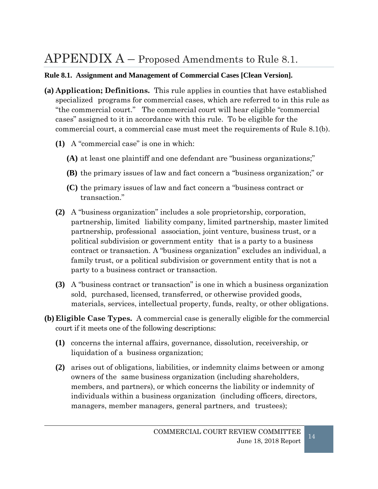## <span id="page-14-0"></span> $APPENDIX A - Proposed Amendments to Rule 8.1.$

#### **Rule 8.1. Assignment and Management of Commercial Cases [Clean Version].**

- **(a) Application; Definitions.** This rule applies in counties that have established specialized programs for commercial cases, which are referred to in this rule as "the commercial court." The commercial court will hear eligible "commercial cases" assigned to it in accordance with this rule. To be eligible for the commercial court, a commercial case must meet the requirements of Rule 8.1(b).
	- **(1)** A "commercial case" is one in which:
		- **(A)** at least one plaintiff and one defendant are "business organizations;"
		- **(B)** the primary issues of law and fact concern a "business organization;" or
		- **(C)** the primary issues of law and fact concern a "business contract or transaction."
	- **(2)** A "business organization" includes a sole proprietorship, corporation, partnership, limited liability company, limited partnership, master limited partnership, professional association, joint venture, business trust, or a political subdivision or government entity that is a party to a business contract or transaction. A "business organization" excludes an individual, a family trust, or a political subdivision or government entity that is not a party to a business contract or transaction.
	- **(3)** A "business contract or transaction" is one in which a business organization sold, purchased, licensed, transferred, or otherwise provided goods, materials, services, intellectual property, funds, realty, or other obligations.
- **(b) Eligible Case Types.** A commercial case is generally eligible for the commercial court if it meets one of the following descriptions:
	- **(1)** concerns the internal affairs, governance, dissolution, receivership, or liquidation of a business organization;
	- **(2)** arises out of obligations, liabilities, or indemnity claims between or among owners of the same business organization (including shareholders, members, and partners), or which concerns the liability or indemnity of individuals within a business organization (including officers, directors, managers, member managers, general partners, and trustees);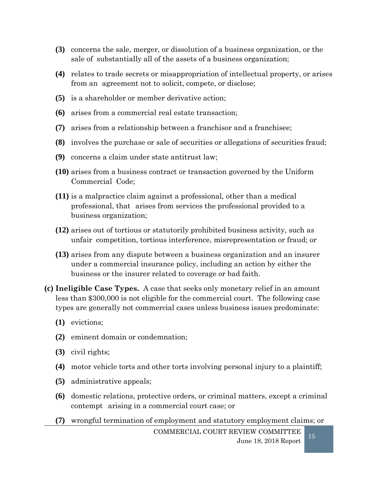- **(3)** concerns the sale, merger, or dissolution of a business organization, or the sale of substantially all of the assets of a business organization;
- **(4)** relates to trade secrets or misappropriation of intellectual property, or arises from an agreement not to solicit, compete, or disclose;
- **(5)** is a shareholder or member derivative action;
- **(6)** arises from a commercial real estate transaction;
- **(7)** arises from a relationship between a franchisor and a franchisee;
- **(8)** involves the purchase or sale of securities or allegations of securities fraud;
- **(9)** concerns a claim under state antitrust law;
- **(10)** arises from a business contract or transaction governed by the Uniform Commercial Code;
- **(11)** is a malpractice claim against a professional, other than a medical professional, that arises from services the professional provided to a business organization;
- **(12)** arises out of tortious or statutorily prohibited business activity, such as unfair competition, tortious interference, misrepresentation or fraud; or
- **(13)** arises from any dispute between a business organization and an insurer under a commercial insurance policy, including an action by either the business or the insurer related to coverage or bad faith.
- **(c) Ineligible Case Types.** A case that seeks only monetary relief in an amount less than \$300,000 is not eligible for the commercial court. The following case types are generally not commercial cases unless business issues predominate:
	- **(1)** evictions;
	- **(2)** eminent domain or condemnation;
	- **(3)** civil rights;
	- **(4)** motor vehicle torts and other torts involving personal injury to a plaintiff;
	- **(5)** administrative appeals;
	- **(6)** domestic relations, protective orders, or criminal matters, except a criminal contempt arising in a commercial court case; or
	- **(7)** wrongful termination of employment and statutory employment claims; or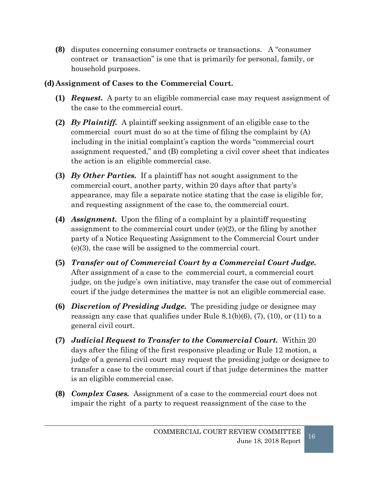**(8)** disputes concerning consumer contracts or transactions. A "consumer contract or transaction" is one that is primarily for personal, family, or household purposes.

#### **(d) Assignment of Cases to the Commercial Court.**

- **(1)** *Request.* A party to an eligible commercial case may request assignment of the case to the commercial court.
- **(2)** *By Plaintiff.* A plaintiff seeking assignment of an eligible case to the commercial court must do so at the time of filing the complaint by (A) including in the initial complaint's caption the words "commercial court assignment requested," and (B) completing a civil cover sheet that indicates the action is an eligible commercial case.
- **(3)** *By Other Parties.* If a plaintiff has not sought assignment to the commercial court, another party, within 20 days after that party's appearance, may file a separate notice stating that the case is eligible for, and requesting assignment of the case to, the commercial court.
- **(4)** *Assignment.* Upon the filing of a complaint by a plaintiff requesting assignment to the commercial court under  $(e)(2)$ , or the filing by another party of a Notice Requesting Assignment to the Commercial Court under (e)(3), the case will be assigned to the commercial court.
- **(5)** *Transfer out of Commercial Court by a Commercial Court Judge.* After assignment of a case to the commercial court, a commercial court judge, on the judge's own initiative, may transfer the case out of commercial court if the judge determines the matter is not an eligible commercial case.
- **(6)** *Discretion of Presiding Judge.* The presiding judge or designee may reassign any case that qualifies under Rule 8.1(b)(6), (7), (10), or (11) to a general civil court.
- **(7)** *Judicial Request to Transfer to the Commercial Court.* Within 20 days after the filing of the first responsive pleading or Rule 12 motion, a judge of a general civil court may request the presiding judge or designee to transfer a case to the commercial court if that judge determines the matter is an eligible commercial case.
- **(8)** *Complex Cases.* Assignment of a case to the commercial court does not impair the right of a party to request reassignment of the case to the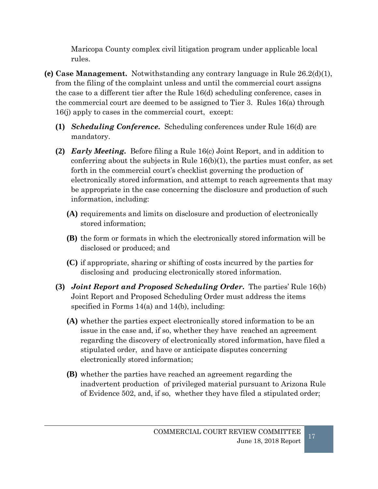Maricopa County complex civil litigation program under applicable local rules.

- **(e) Case Management.** Notwithstanding any contrary language in Rule 26.2(d)(1), from the filing of the complaint unless and until the commercial court assigns the case to a different tier after the Rule 16(d) scheduling conference, cases in the commercial court are deemed to be assigned to Tier 3. Rules 16(a) through 16(j) apply to cases in the commercial court, except:
	- **(1)** *Scheduling Conference***.** Scheduling conferences under Rule 16(d) are mandatory.
	- **(2)** *Early Meeting***.** Before filing a Rule 16(c) Joint Report, and in addition to conferring about the subjects in Rule  $16(b)(1)$ , the parties must confer, as set forth in the commercial court's checklist governing the production of electronically stored information, and attempt to reach agreements that may be appropriate in the case concerning the disclosure and production of such information, including:
		- **(A)** requirements and limits on disclosure and production of electronically stored information;
		- **(B)** the form or formats in which the electronically stored information will be disclosed or produced; and
		- **(C)** if appropriate, sharing or shifting of costs incurred by the parties for disclosing and producing electronically stored information.
	- **(3)** *Joint Report and Proposed Scheduling Order***.** The parties' Rule 16(b) Joint Report and Proposed Scheduling Order must address the items specified in Forms 14(a) and 14(b), including:
		- **(A)** whether the parties expect electronically stored information to be an issue in the case and, if so, whether they have reached an agreement regarding the discovery of electronically stored information, have filed a stipulated order, and have or anticipate disputes concerning electronically stored information;
		- **(B)** whether the parties have reached an agreement regarding the inadvertent production of privileged material pursuant to Arizona Rule of Evidence 502, and, if so, whether they have filed a stipulated order;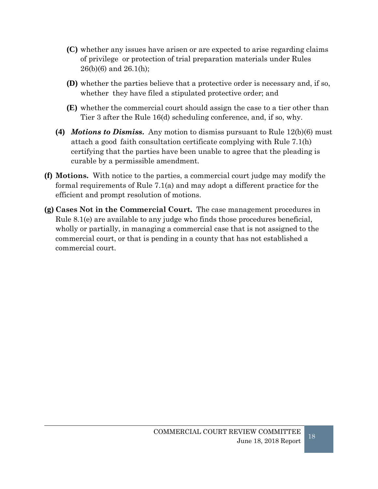- **(C)** whether any issues have arisen or are expected to arise regarding claims of privilege or protection of trial preparation materials under Rules 26(b)(6) and 26.1(h);
- **(D)** whether the parties believe that a protective order is necessary and, if so, whether they have filed a stipulated protective order; and
- **(E)** whether the commercial court should assign the case to a tier other than Tier 3 after the Rule 16(d) scheduling conference, and, if so, why.
- **(4)** *Motions to Dismiss***.** Any motion to dismiss pursuant to Rule 12(b)(6) must attach a good faith consultation certificate complying with Rule 7.1(h) certifying that the parties have been unable to agree that the pleading is curable by a permissible amendment.
- **(f) Motions.** With notice to the parties, a commercial court judge may modify the formal requirements of Rule 7.1(a) and may adopt a different practice for the efficient and prompt resolution of motions.
- **(g) Cases Not in the Commercial Court.** The case management procedures in Rule 8.1(e) are available to any judge who finds those procedures beneficial, wholly or partially, in managing a commercial case that is not assigned to the commercial court, or that is pending in a county that has not established a commercial court.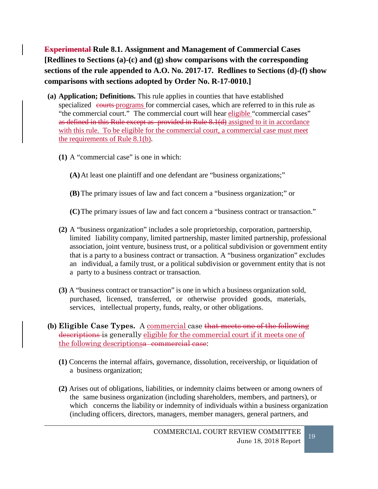**Experimental Rule 8.1. Assignment and Management of Commercial Cases [Redlines to Sections (a)-(c) and (g) show comparisons with the corresponding sections of the rule appended to A.O. No. 2017-17. Redlines to Sections (d)-(f) show comparisons with sections adopted by Order No. R-17-0010.]**

- **(a) Application; Definitions.** This rule applies in counties that have established specialized courts programs for commercial cases, which are referred to in this rule as "the commercial court." The commercial court will hear eligible "commercial cases" as defined in this Rule except as provided in Rule 8.1(d) assigned to it in accordance with this rule. To be eligible for the commercial court, a commercial case must meet the requirements of Rule 8.1(b).
	- **(1)** A "commercial case" is one in which:

**(A)**At least one plaintiff and one defendant are "business organizations;"

**(B)** The primary issues of law and fact concern a "business organization;" or

**(C)**The primary issues of law and fact concern a "business contract or transaction."

- **(2)** A "business organization" includes a sole proprietorship, corporation, partnership, limited liability company, limited partnership, master limited partnership, professional association, joint venture, business trust, or a political subdivision or government entity that is a party to a business contract or transaction. A "business organization" excludes an individual, a family trust, or a political subdivision or government entity that is not a party to a business contract or transaction.
- **(3)** A "business contract or transaction" is one in which a business organization sold, purchased, licensed, transferred, or otherwise provided goods, materials, services, intellectual property, funds, realty, or other obligations.
- **(b) Eligible Case Types.** A commercial case that meets one of the following descriptions is generally eligible for the commercial court if it meets one of the following descriptionsa commercial case:
	- **(1)** Concerns the internal affairs, governance, dissolution, receivership, or liquidation of a business organization;
	- **(2)** Arises out of obligations, liabilities, or indemnity claims between or among owners of the same business organization (including shareholders, members, and partners), or which concerns the liability or indemnity of individuals within a business organization (including officers, directors, managers, member managers, general partners, and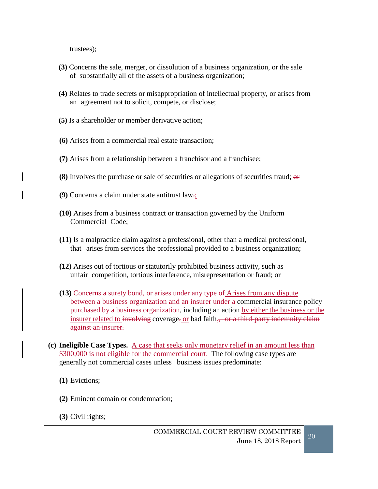trustees);

- **(3)** Concerns the sale, merger, or dissolution of a business organization, or the sale of substantially all of the assets of a business organization;
- **(4)** Relates to trade secrets or misappropriation of intellectual property, or arises from an agreement not to solicit, compete, or disclose;
- **(5)** Is a shareholder or member derivative action;
- **(6)** Arises from a commercial real estate transaction;
- **(7)** Arises from a relationship between a franchisor and a franchisee;
- **(8)** Involves the purchase or sale of securities or allegations of securities fraud; or
- **(9)** Concerns a claim under state antitrust law.;
- **(10)** Arises from a business contract or transaction governed by the Uniform Commercial Code;
- **(11)** Is a malpractice claim against a professional, other than a medical professional, that arises from services the professional provided to a business organization;
- **(12)** Arises out of tortious or statutorily prohibited business activity, such as unfair competition, tortious interference, misrepresentation or fraud; or
- **(13)** Concerns a surety bond, or arises under any type of Arises from any dispute between a business organization and an insurer under a commercial insurance policy purchased by a business organization, including an action by either the business or the insurer related to involving coverage, or bad faith. or a third-party indemnity claim against an insurer.
- **(c) Ineligible Case Types.** A case that seeks only monetary relief in an amount less than \$300,000 is not eligible for the commercial court. The following case types are generally not commercial cases unless business issues predominate:
	- **(1)** Evictions;
	- **(2)** Eminent domain or condemnation;
	- **(3)** Civil rights;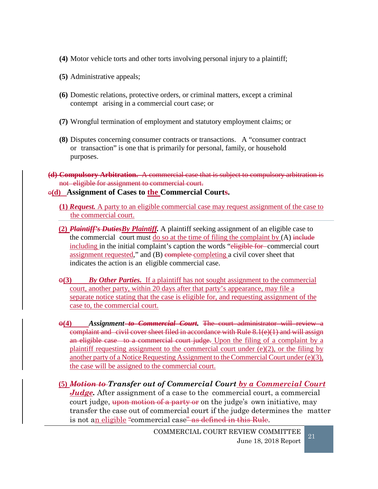- **(4)** Motor vehicle torts and other torts involving personal injury to a plaintiff;
- **(5)** Administrative appeals;
- **(6)** Domestic relations, protective orders, or criminal matters, except a criminal contempt arising in a commercial court case; or
- **(7)** Wrongful termination of employment and statutory employment claims; or
- **(8)** Disputes concerning consumer contracts or transactions. A "consumer contract or transaction" is one that is primarily for personal, family, or household purposes.
- **(d) Compulsory Arbitration.** A commercial case that is subject to compulsory arbitration is not eligible for assignment to commercial court.

#### $\Theta$ (d) Assignment of Cases to the Commercial Courts.

- **(1)** *Request.* A party to an eligible commercial case may request assignment of the case to the commercial court.
- **(2)** *Plaintiff's DutiesBy Plaintiff.* A plaintiff seeking assignment of an eligible case to the commercial court must do so at the time of filing the complaint by  $(A)$  include including in the initial complaint's caption the words "eligible for-commercial court assignment requested," and (B) complete completing a civil cover sheet that indicates the action is an eligible commercial case.
- $\Theta(3)$  *By Other Parties.* If a plaintiff has not sought assignment to the commercial court, another party, within 20 days after that party's appearance, may file a separate notice stating that the case is eligible for, and requesting assignment of the case to, the commercial court.
- o**(4)** *Assignment to Commercial Court.* The court administrator will review a complaint and civil cover sheet filed in accordance with Rule 8.1(e)(1) and will assign an eligible case to a commercial court judge. Upon the filing of a complaint by a plaintiff requesting assignment to the commercial court under (e)(2), or the filing by another party of a Notice Requesting Assignment to the Commercial Court under (e)(3), the case will be assigned to the commercial court.
- **(5)** *Motion to Transfer out of Commercial Court by a Commercial Court Judge*. After assignment of a case to the commercial court, a commercial court judge, upon motion of a party or on the judge's own initiative, may transfer the case out of commercial court if the judge determines the matter is not an eligible "commercial case" as defined in this Rule.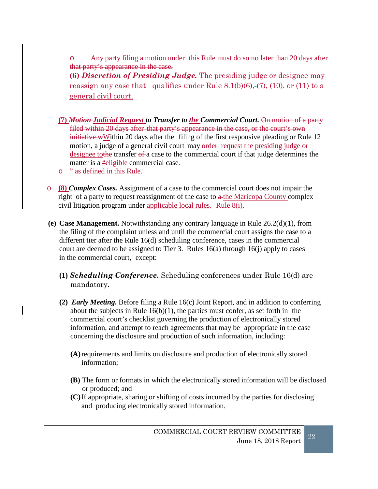o Any party filing a motion under this Rule must do so no later than 20 days after that party's appearance in the case.

**(6)** *Discretion of Presiding Judge.* The presiding judge or designee may reassign any case that qualifies under Rule  $8.1(b)(6)$ , (7), (10), or (11) to a general civil court.

- **(7)** *Motion Judicial Request to Transfer to the Commercial Court.* On motion of a party filed within 20 days after that party's appearance in the case, or the court's own initiative wWithin 20 days after the filing of the first responsive pleading or Rule 12 motion, a judge of a general civil court may order request the presiding judge or designee to the transfer of a case to the commercial court if that judge determines the matter is a "eligible commercial case.
- o " as defined in this Rule.
- $\theta$  (8) *Complex Cases.* Assignment of a case to the commercial court does not impair the right of a party to request reassignment of the case to  $a$ -the Maricopa County complex civil litigation program under applicable local rules.—Rule  $8(i)$ .
- **(e) Case Management.** Notwithstanding any contrary language in Rule 26.2(d)(1), from the filing of the complaint unless and until the commercial court assigns the case to a different tier after the Rule 16(d) scheduling conference, cases in the commercial court are deemed to be assigned to Tier 3. Rules  $16(a)$  through  $16(i)$  apply to cases in the commercial court, except:
	- **(1)** *Scheduling Conference***.** Scheduling conferences under Rule 16(d) are mandatory.
	- **(2)** *Early Meeting***.** Before filing a Rule 16(c) Joint Report, and in addition to conferring about the subjects in Rule  $16(b)(1)$ , the parties must confer, as set forth in the commercial court's checklist governing the production of electronically stored information, and attempt to reach agreements that may be appropriate in the case concerning the disclosure and production of such information, including:
		- **(A)**requirements and limits on disclosure and production of electronically stored information;
		- **(B)** The form or formats in which the electronically stored information will be disclosed or produced; and
		- **(C)**If appropriate, sharing or shifting of costs incurred by the parties for disclosing and producing electronically stored information.